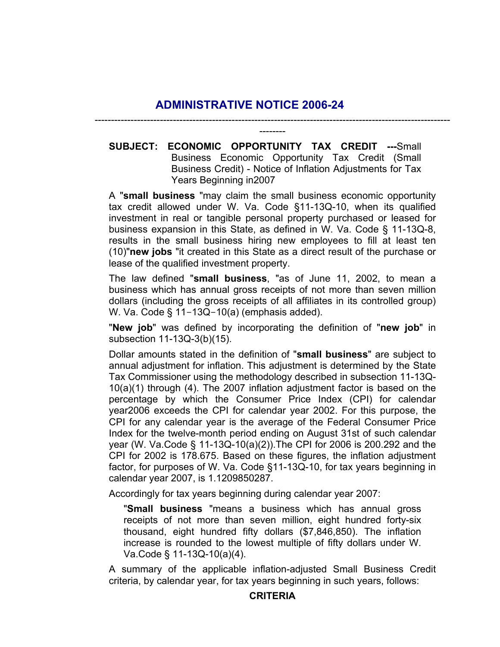## **ADMINISTRATIVE NOTICE 2006-24**

**SUBJECT: ECONOMIC OPPORTUNITY TAX CREDIT ---**Small Business Economic Opportunity Tax Credit (Small Business Credit) - Notice of Inflation Adjustments for Tax Years Beginning in2007

------------------------------------------------------------------------------------------------------------- --------

A "**small business** "may claim the small business economic opportunity tax credit allowed under W. Va. Code §11-13Q-10, when its qualified investment in real or tangible personal property purchased or leased for business expansion in this State, as defined in W. Va. Code § 11-13Q-8, results in the small business hiring new employees to fill at least ten (10)"**new jobs** "it created in this State as a direct result of the purchase or lease of the qualified investment property.

The law defined "**small business**, "as of June 11, 2002, to mean a business which has annual gross receipts of not more than seven million dollars (including the gross receipts of all affiliates in its controlled group) W. Va. Code § 11-13Q-10(a) (emphasis added).

"**New job**" was defined by incorporating the definition of "**new job**" in subsection 11-13Q-3(b)(15).

Dollar amounts stated in the definition of "**small business**" are subject to annual adjustment for inflation. This adjustment is determined by the State Tax Commissioner using the methodology described in subsection 11-13Q-10(a)(1) through (4). The 2007 inflation adjustment factor is based on the percentage by which the Consumer Price Index (CPI) for calendar year2006 exceeds the CPI for calendar year 2002. For this purpose, the CPI for any calendar year is the average of the Federal Consumer Price Index for the twelve-month period ending on August 31st of such calendar year (W. Va.Code § 11-13Q-10(a)(2)).The CPI for 2006 is 200.292 and the CPI for 2002 is 178.675. Based on these figures, the inflation adjustment factor, for purposes of W. Va. Code §11-13Q-10, for tax years beginning in calendar year 2007, is 1.1209850287.

Accordingly for tax years beginning during calendar year 2007:

"**Small business** "means a business which has annual gross receipts of not more than seven million, eight hundred forty-six thousand, eight hundred fifty dollars (\$7,846,850). The inflation increase is rounded to the lowest multiple of fifty dollars under W. Va.Code § 11-13Q-10(a)(4).

A summary of the applicable inflation-adjusted Small Business Credit criteria, by calendar year, for tax years beginning in such years, follows: